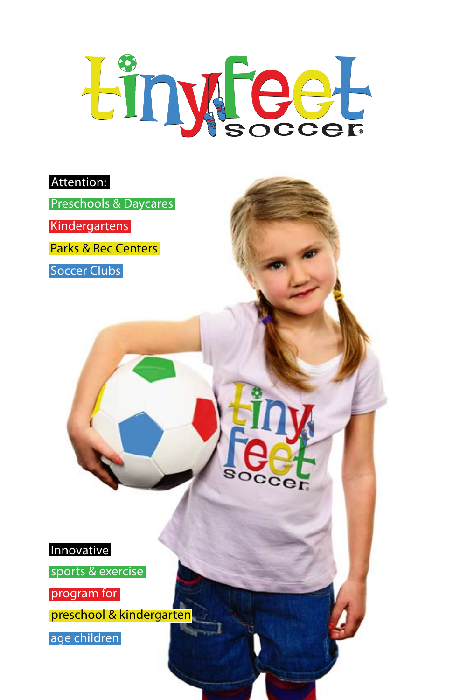# Einyfeet

cer

### Attention:

Preschools & Daycares

Kindergartens

Parks & Rec Centers

Soccer Clubs



sports & exercise

program for

preschool & kindergarten

age children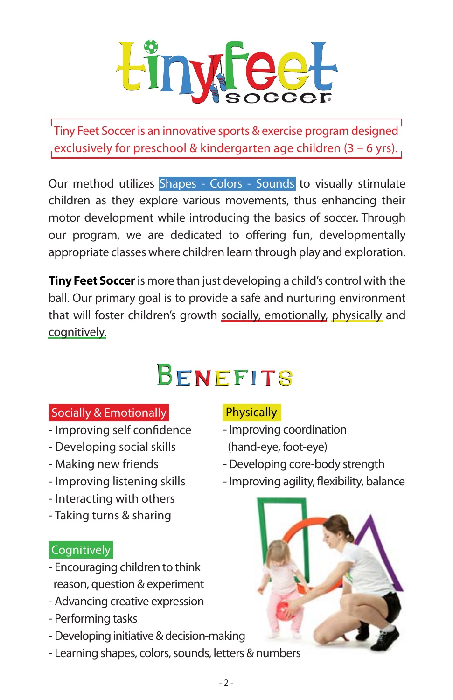

Tiny Feet Soccer is an innovative sports & exercise program designed exclusively for preschool & kindergarten age children (3 – 6 yrs).

Our method utilizes Shapes - Colors - Sounds to visually stimulate children as they explore various movements, thus enhancing their motor development while introducing the basics of soccer. Through our program, we are dedicated to offering fun, developmentally appropriate classes where children learn through play and exploration.

**Tiny Feet Soccer** is more than just developing a child's control with the ball. Our primary goal is to provide a safe and nurturing environment that will foster children's growth socially, emotionally, physically and cognitively.

## BENEFITS

### Socially & Emotionally

- Improving self confidence
- Developing social skills
- Making new friends
- Improving listening skills
- Interacting with others
- Taking turns & sharing

### **Cognitively**

- Encouraging children to think reason, question & experiment
- Advancing creative expression
- Performing tasks
- Developing initiative & decision-making
- Learning shapes, colors, sounds, letters & numbers

### **Physically**

- Improving coordination (hand-eye, foot-eye)
- Developing core-body strength
- Improving agility, flexibility, balance

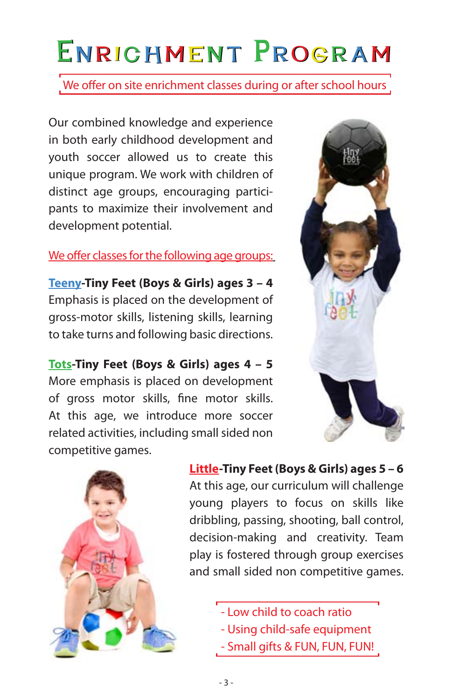# ENRICHMENT PROGRAM

We offer on site enrichment classes during or after school hours

Our combined knowledge and experience in both early childhood development and youth soccer allowed us to create this unique program. We work with children of distinct age groups, encouraging participants to maximize their involvement and development potential.

### We offer classes for the following age groups:

**Teeny-Tiny Feet (Boys & Girls) ages 3 – 4**  Emphasis is placed on the development of gross-motor skills, listening skills, learning to take turns and following basic directions.

**Tots-Tiny Feet (Boys & Girls) ages 4 – 5** More emphasis is placed on development of gross motor skills, fine motor skills. At this age, we introduce more soccer related activities, including small sided non competitive games.





**Little-Tiny Feet (Boys & Girls) ages 5 – 6**

At this age, our curriculum will challenge young players to focus on skills like dribbling, passing, shooting, ball control, decision-making and creativity. Team play is fostered through group exercises and small sided non competitive games.

- Low child to coach ratio

- Using child-safe equipment
- Small gifts & FUN, FUN, FUN!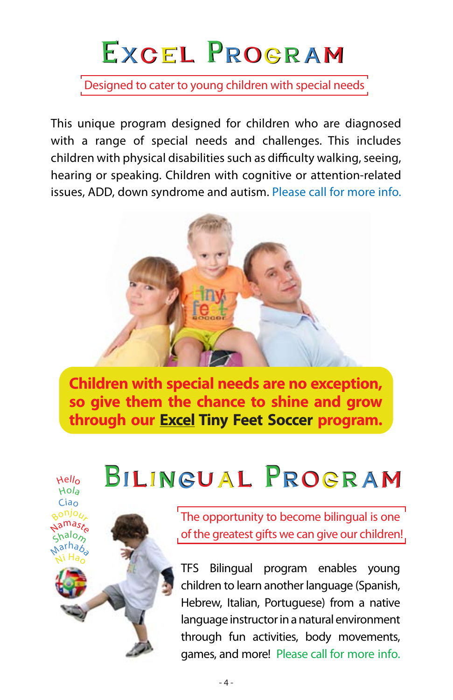# EXCEL PROGRAM

Designed to cater to young children with special needs

This unique program designed for children who are diagnosed with a range of special needs and challenges. This includes children with physical disabilities such as difficulty walking, seeing, hearing or speaking. Children with cognitive or attention-related issues, ADD, down syndrome and autism. Please call for more info.



**Children with special needs are no exception, so give them the chance to shine and grow through our Excel Tiny Feet Soccer program.**

BILINGUAL PROGRAM



The opportunity to become bilingual is one of the greatest gifts we can give our children!

TFS Bilingual program enables young children to learn another language (Spanish, Hebrew, Italian, Portuguese) from a native language instructor in a natural environment through fun activities, body movements, games, and more! Please call for more info.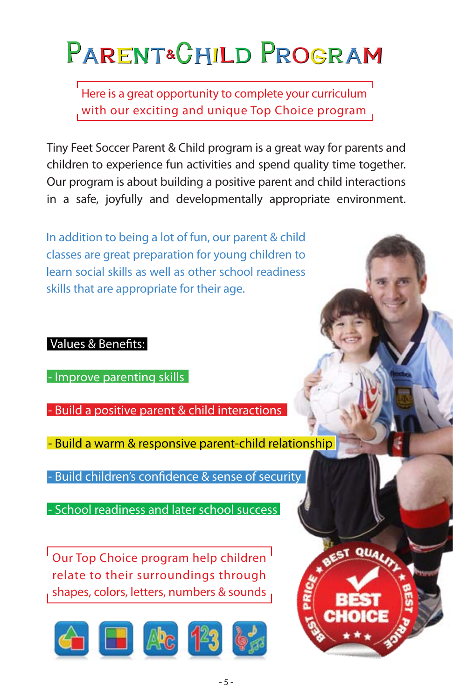# PARENT&CHILD PROGRAM

Here is a great opportunity to complete your curriculum with our exciting and unique Top Choice program

Tiny Feet Soccer Parent & Child program is a great way for parents and children to experience fun activities and spend quality time together. Our program is about building a positive parent and child interactions in a safe, joyfully and developmentally appropriate environment.

In addition to being a lot of fun, our parent & child classes are great preparation for young children to learn social skills as well as other school readiness skills that are appropriate for their age.

### Values & Benefits:

- Improve parenting skills

- Build a positive parent & child interactions

- Build a warm & responsive parent-child relationship

- Build children's confidence & sense of security

- School readiness and later school success

<sup>I</sup> Our Top Choice program help children <sup>I</sup> relate to their surroundings through shapes, colors, letters, numbers & sounds



EST QUALIT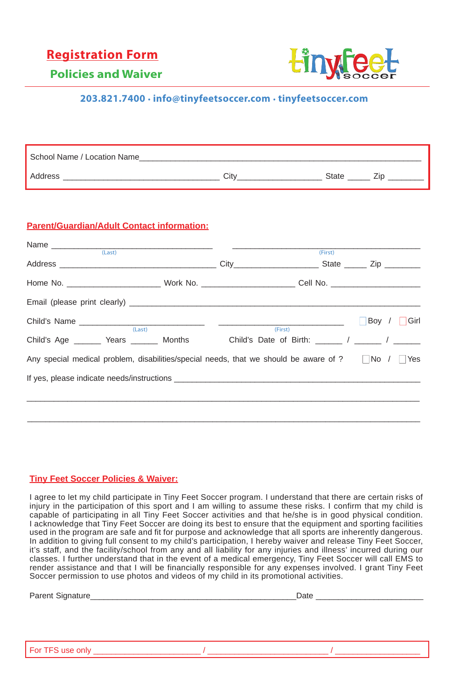### **Registration Form**



**Policies and Waiver**

### **203.821.7400 . info@tinyfeetsoccer.com . tinyfeetsoccer.com**

| School Name / Location Name |      |              |  |
|-----------------------------|------|--------------|--|
| Address                     | ∩itv | <b>State</b> |  |

#### **Parent/Guardian/Adult Contact information:**

| $\begin{tabular}{c} Name \hspace{2.5cm} \hspace{2.5cm} \textbf{Name} \\ \hspace{2.5cm} \textbf{1} & \textbf{1} \\ \end{tabular}$ |         | (First) |    |                   |
|----------------------------------------------------------------------------------------------------------------------------------|---------|---------|----|-------------------|
| Address Zip                                                                                                                      |         |         |    |                   |
|                                                                                                                                  |         |         |    |                   |
|                                                                                                                                  |         |         |    |                   |
| (Last)                                                                                                                           | (First) |         | T. | Boy / $\Box$ Girl |
| Child's Age ________ Years ________ Months Child's Date of Birth: ______ / ______ / ______                                       |         |         |    |                   |
| Any special medical problem, disabilities/special needs, that we should be aware of ?   No /   Yes                               |         |         |    |                   |
|                                                                                                                                  |         |         |    |                   |
|                                                                                                                                  |         |         |    |                   |
|                                                                                                                                  |         |         |    |                   |

#### **Tiny Feet Soccer Policies & Waiver:**

I agree to let my child participate in Tiny Feet Soccer program. I understand that there are certain risks of injury in the participation of this sport and I am willing to assume these risks. I confirm that my child is capable of participating in all Tiny Feet Soccer activities and that he/she is in good physical condition. I acknowledge that Tiny Feet Soccer are doing its best to ensure that the equipment and sporting facilities used in the program are safe and fit for purpose and acknowledge that all sports are inherently dangerous. In addition to giving full consent to my child's participation, I hereby waiver and release Tiny Feet Soccer, it's staff, and the facility/school from any and all liability for any injuries and illness' incurred during our classes. I further understand that in the event of a medical emergency, Tiny Feet Soccer will call EMS to render assistance and that I will be financially responsible for any expenses involved. I grant Tiny Feet Soccer permission to use photos and videos of my child in its promotional activities.

| Parent Signature_ | Date |
|-------------------|------|
|                   |      |
|                   |      |
|                   |      |
|                   |      |
| For TFS use only  |      |